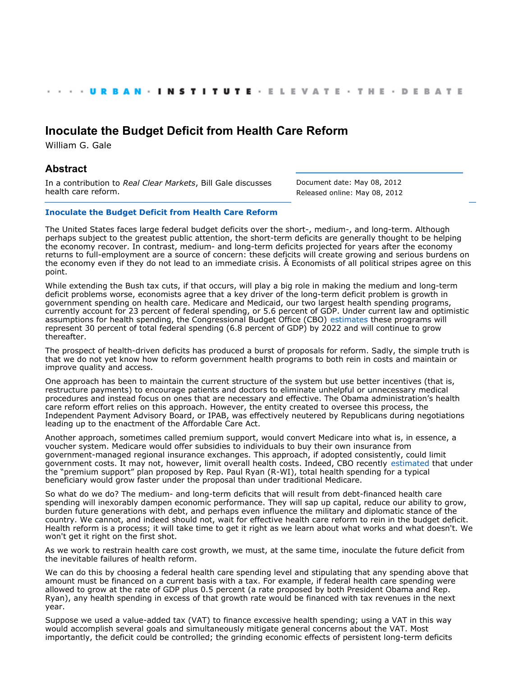## **[Inoculate the Budget Deficit from Health Care Reform](http://www.urban.org/index.cfm)**

William G. Gale

## **Abstract**

In a contribution to *Real Clear Markets*, Bill Gale discusses health care reform.

Document date: May 08, 2012 Released online: May 08, 2012

## **[Inoculate the Budget Deficit from Health Care Reform](http://www.realclearmarkets.com/articles/2012/05/08/innoculate_the_budget_deficit_from_healthcare_reform_99658.html)**

The United States faces large federal budget deficits over the short-, medium-, and long-term. Although perhaps subject to the greatest public attention, the short-term deficits are generally thought to be helping the economy recover. In contrast, medium- and long-term deficits projected for years after the economy returns to full-employment are a source of concern: these deficits will create growing and serious burdens on the economy even if they do not lead to an immediate crisis. Â Economists of all political stripes agree on this point.

While extending the Bush tax cuts, if that occurs, will play a big role in making the medium and long-term deficit problems worse, economists agree that a key driver of the long-term deficit problem is growth in government spending on health care. Medicare and Medicaid, our two largest health spending programs, currently account for 23 percent of federal spending, or 5.6 percent of GDP. Under current law and optimistic assumptions for health spending, the Congressional Budget Office (CBO) [estimates](http://cbo.gov/publication/43119) these programs will represent 30 percent of total federal spending (6.8 percent of GDP) by 2022 and will continue to grow thereafter.

The prospect of health-driven deficits has produced a burst of proposals for reform. Sadly, the simple truth is that we do not yet know how to reform government health programs to both rein in costs and maintain or improve quality and access.

One approach has been to maintain the current structure of the system but use better incentives (that is, restructure payments) to encourage patients and doctors to eliminate unhelpful or unnecessary medical procedures and instead focus on ones that are necessary and effective. The Obama administration's health care reform effort relies on this approach. However, the entity created to oversee this process, the Independent Payment Advisory Board, or IPAB, was effectively neutered by Republicans during negotiations leading up to the enactment of the Affordable Care Act.

Another approach, sometimes called premium support, would convert Medicare into what is, in essence, a voucher system. Medicare would offer subsidies to individuals to buy their own insurance from government-managed regional insurance exchanges. This approach, if adopted consistently, could limit government costs. It may not, however, limit overall health costs. Indeed, CBO recently [estimated](http://cbo.gov/publication/22085) that under the "premium support" plan proposed by Rep. Paul Ryan (R-WI), total health spending for a typical beneficiary would grow faster under the proposal than under traditional Medicare.

So what do we do? The medium- and long-term deficits that will result from debt-financed health care spending will inexorably dampen economic performance. They will sap up capital, reduce our ability to grow, burden future generations with debt, and perhaps even influence the military and diplomatic stance of the country. We cannot, and indeed should not, wait for effective health care reform to rein in the budget deficit. Health reform is a process; it will take time to get it right as we learn about what works and what doesn't. We won't get it right on the first shot.

As we work to restrain health care cost growth, we must, at the same time, inoculate the future deficit from the inevitable failures of health reform.

We can do this by choosing a federal health care spending level and stipulating that any spending above that amount must be financed on a current basis with a tax. For example, if federal health care spending were allowed to grow at the rate of GDP plus 0.5 percent (a rate proposed by both President Obama and Rep. Ryan), any health spending in excess of that growth rate would be financed with tax revenues in the next year.

Suppose we used a value-added tax (VAT) to finance excessive health spending; using a VAT in this way would accomplish several goals and simultaneously mitigate general concerns about the VAT. Most importantly, the deficit could be controlled; the grinding economic effects of persistent long-term deficits